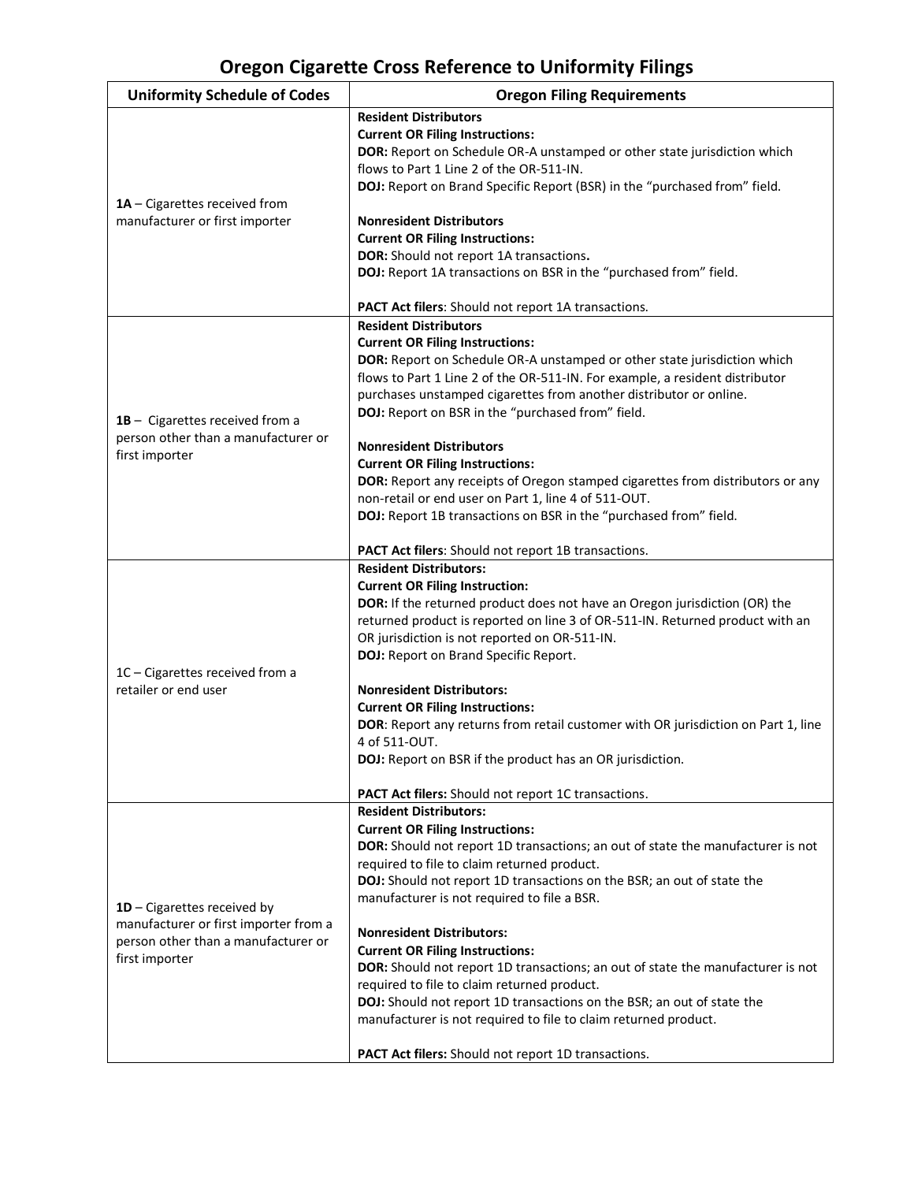## **Oregon Cigarette Cross Reference to Uniformity Filings**

| <b>Uniformity Schedule of Codes</b>                                                                                           | <b>Oregon Filing Requirements</b>                                                                                                                                                                                                                                                                                                                                                                                                                                                                                                                                                                                                                                                                                                                      |
|-------------------------------------------------------------------------------------------------------------------------------|--------------------------------------------------------------------------------------------------------------------------------------------------------------------------------------------------------------------------------------------------------------------------------------------------------------------------------------------------------------------------------------------------------------------------------------------------------------------------------------------------------------------------------------------------------------------------------------------------------------------------------------------------------------------------------------------------------------------------------------------------------|
| 1A - Cigarettes received from<br>manufacturer or first importer                                                               | <b>Resident Distributors</b><br><b>Current OR Filing Instructions:</b><br>DOR: Report on Schedule OR-A unstamped or other state jurisdiction which<br>flows to Part 1 Line 2 of the OR-511-IN.<br>DOJ: Report on Brand Specific Report (BSR) in the "purchased from" field.<br><b>Nonresident Distributors</b><br><b>Current OR Filing Instructions:</b><br>DOR: Should not report 1A transactions.<br>DOJ: Report 1A transactions on BSR in the "purchased from" field.<br>PACT Act filers: Should not report 1A transactions.                                                                                                                                                                                                                        |
| 1B - Cigarettes received from a<br>person other than a manufacturer or<br>first importer                                      | <b>Resident Distributors</b><br><b>Current OR Filing Instructions:</b><br>DOR: Report on Schedule OR-A unstamped or other state jurisdiction which<br>flows to Part 1 Line 2 of the OR-511-IN. For example, a resident distributor<br>purchases unstamped cigarettes from another distributor or online.<br>DOJ: Report on BSR in the "purchased from" field.<br><b>Nonresident Distributors</b><br><b>Current OR Filing Instructions:</b><br>DOR: Report any receipts of Oregon stamped cigarettes from distributors or any<br>non-retail or end user on Part 1, line 4 of 511-OUT.<br>DOJ: Report 1B transactions on BSR in the "purchased from" field.<br>PACT Act filers: Should not report 1B transactions.                                       |
| 1C - Cigarettes received from a<br>retailer or end user                                                                       | <b>Resident Distributors:</b><br><b>Current OR Filing Instruction:</b><br><b>DOR:</b> If the returned product does not have an Oregon jurisdiction (OR) the<br>returned product is reported on line 3 of OR-511-IN. Returned product with an<br>OR jurisdiction is not reported on OR-511-IN.<br>DOJ: Report on Brand Specific Report.<br><b>Nonresident Distributors:</b><br><b>Current OR Filing Instructions:</b><br>DOR: Report any returns from retail customer with OR jurisdiction on Part 1, line<br>4 of 511-OUT.<br>DOJ: Report on BSR if the product has an OR jurisdiction.<br><b>PACT Act filers:</b> Should not report 1C transactions.                                                                                                  |
| 1D - Cigarettes received by<br>manufacturer or first importer from a<br>person other than a manufacturer or<br>first importer | <b>Resident Distributors:</b><br><b>Current OR Filing Instructions:</b><br>DOR: Should not report 1D transactions; an out of state the manufacturer is not<br>required to file to claim returned product.<br>DOJ: Should not report 1D transactions on the BSR; an out of state the<br>manufacturer is not required to file a BSR.<br><b>Nonresident Distributors:</b><br><b>Current OR Filing Instructions:</b><br>DOR: Should not report 1D transactions; an out of state the manufacturer is not<br>required to file to claim returned product.<br>DOJ: Should not report 1D transactions on the BSR; an out of state the<br>manufacturer is not required to file to claim returned product.<br>PACT Act filers: Should not report 1D transactions. |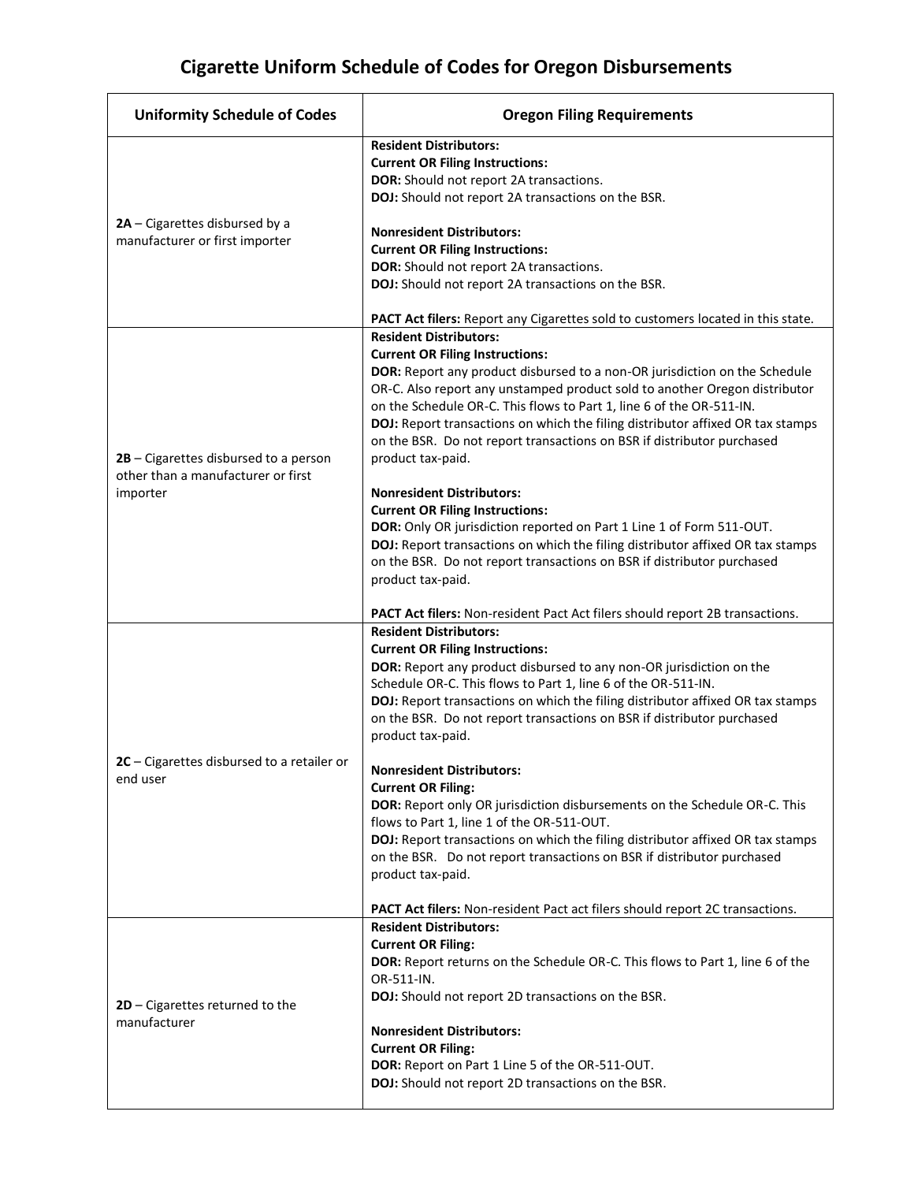## **Cigarette Uniform Schedule of Codes for Oregon Disbursements**

| <b>Uniformity Schedule of Codes</b>                                                       | <b>Oregon Filing Requirements</b>                                                                                                                                                                                                                                                                                                                                                                                                                           |
|-------------------------------------------------------------------------------------------|-------------------------------------------------------------------------------------------------------------------------------------------------------------------------------------------------------------------------------------------------------------------------------------------------------------------------------------------------------------------------------------------------------------------------------------------------------------|
| 2A - Cigarettes disbursed by a<br>manufacturer or first importer                          | <b>Resident Distributors:</b><br><b>Current OR Filing Instructions:</b><br>DOR: Should not report 2A transactions.<br>DOJ: Should not report 2A transactions on the BSR.                                                                                                                                                                                                                                                                                    |
|                                                                                           | <b>Nonresident Distributors:</b><br><b>Current OR Filing Instructions:</b><br>DOR: Should not report 2A transactions.<br>DOJ: Should not report 2A transactions on the BSR.                                                                                                                                                                                                                                                                                 |
|                                                                                           | PACT Act filers: Report any Cigarettes sold to customers located in this state.<br><b>Resident Distributors:</b>                                                                                                                                                                                                                                                                                                                                            |
| $2B$ – Cigarettes disbursed to a person<br>other than a manufacturer or first<br>importer | <b>Current OR Filing Instructions:</b><br>DOR: Report any product disbursed to a non-OR jurisdiction on the Schedule<br>OR-C. Also report any unstamped product sold to another Oregon distributor<br>on the Schedule OR-C. This flows to Part 1, line 6 of the OR-511-IN.<br>DOJ: Report transactions on which the filing distributor affixed OR tax stamps<br>on the BSR. Do not report transactions on BSR if distributor purchased<br>product tax-paid. |
|                                                                                           | <b>Nonresident Distributors:</b><br><b>Current OR Filing Instructions:</b><br>DOR: Only OR jurisdiction reported on Part 1 Line 1 of Form 511-OUT.<br>DOJ: Report transactions on which the filing distributor affixed OR tax stamps<br>on the BSR. Do not report transactions on BSR if distributor purchased<br>product tax-paid.                                                                                                                         |
|                                                                                           | PACT Act filers: Non-resident Pact Act filers should report 2B transactions.<br><b>Resident Distributors:</b>                                                                                                                                                                                                                                                                                                                                               |
| $2C - Cigarettes$ disbursed to a retailer or<br>end user                                  | <b>Current OR Filing Instructions:</b><br>DOR: Report any product disbursed to any non-OR jurisdiction on the<br>Schedule OR-C. This flows to Part 1, line 6 of the OR-511-IN.<br>DOJ: Report transactions on which the filing distributor affixed OR tax stamps<br>on the BSR. Do not report transactions on BSR if distributor purchased<br>product tax-paid.                                                                                             |
|                                                                                           | <b>Nonresident Distributors:</b><br><b>Current OR Filing:</b><br>DOR: Report only OR jurisdiction disbursements on the Schedule OR-C. This<br>flows to Part 1, line 1 of the OR-511-OUT.<br>DOJ: Report transactions on which the filing distributor affixed OR tax stamps<br>on the BSR. Do not report transactions on BSR if distributor purchased<br>product tax-paid.                                                                                   |
|                                                                                           | PACT Act filers: Non-resident Pact act filers should report 2C transactions.                                                                                                                                                                                                                                                                                                                                                                                |
| 2D - Cigarettes returned to the<br>manufacturer                                           | <b>Resident Distributors:</b><br><b>Current OR Filing:</b><br>DOR: Report returns on the Schedule OR-C. This flows to Part 1, line 6 of the<br>OR-511-IN.<br>DOJ: Should not report 2D transactions on the BSR.<br><b>Nonresident Distributors:</b>                                                                                                                                                                                                         |
|                                                                                           | <b>Current OR Filing:</b><br>DOR: Report on Part 1 Line 5 of the OR-511-OUT.<br>DOJ: Should not report 2D transactions on the BSR.                                                                                                                                                                                                                                                                                                                          |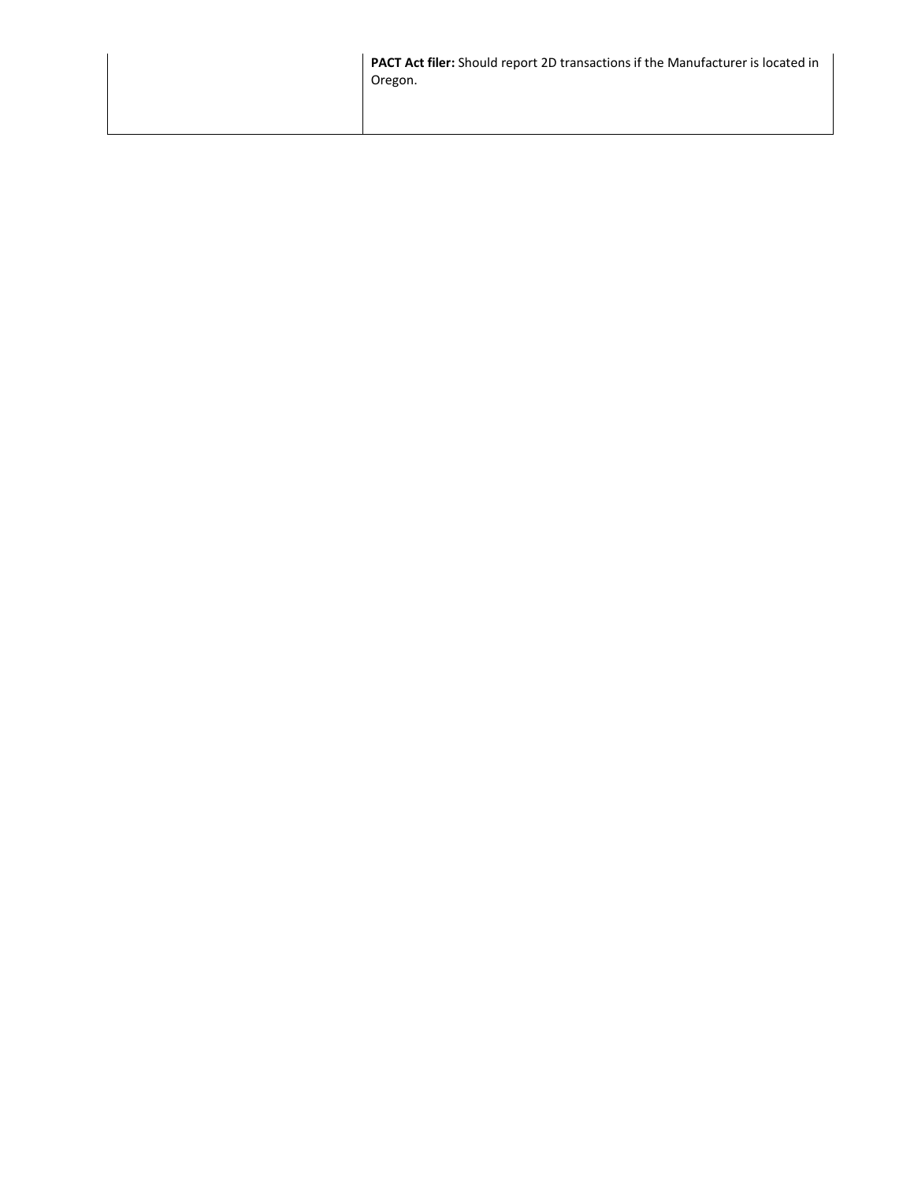| PACT Act filer: Should report 2D transactions if the Manufacturer is located in<br>Oregon. |
|--------------------------------------------------------------------------------------------|
|                                                                                            |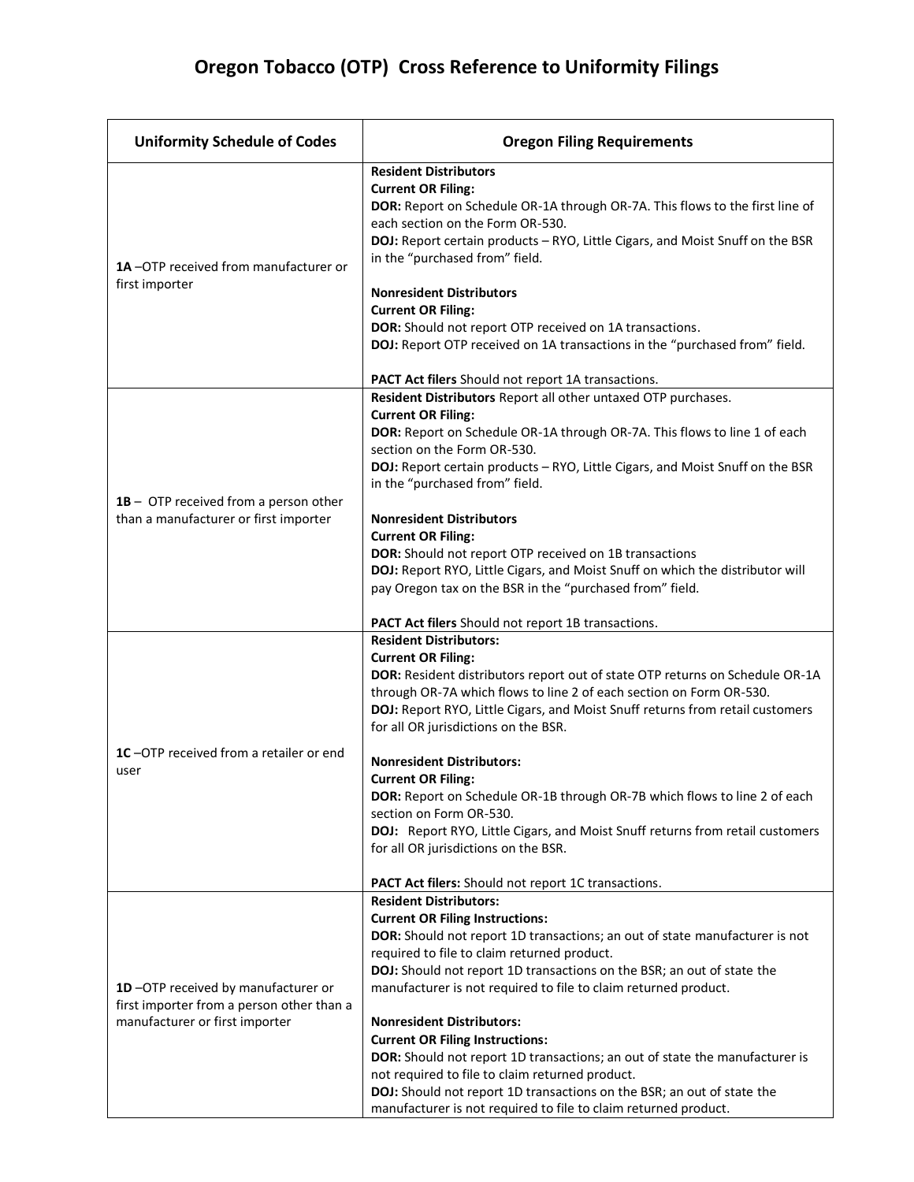## **Oregon Tobacco (OTP) Cross Reference to Uniformity Filings**

| <b>Uniformity Schedule of Codes</b>                                                                               | <b>Oregon Filing Requirements</b>                                                                                                                                                                                                                                                                                                                                                                                                                                                                                                                                                                                                                                                                               |
|-------------------------------------------------------------------------------------------------------------------|-----------------------------------------------------------------------------------------------------------------------------------------------------------------------------------------------------------------------------------------------------------------------------------------------------------------------------------------------------------------------------------------------------------------------------------------------------------------------------------------------------------------------------------------------------------------------------------------------------------------------------------------------------------------------------------------------------------------|
| 1A-OTP received from manufacturer or<br>first importer                                                            | <b>Resident Distributors</b><br><b>Current OR Filing:</b><br>DOR: Report on Schedule OR-1A through OR-7A. This flows to the first line of<br>each section on the Form OR-530.<br>DOJ: Report certain products - RYO, Little Cigars, and Moist Snuff on the BSR<br>in the "purchased from" field.<br><b>Nonresident Distributors</b><br><b>Current OR Filing:</b><br>DOR: Should not report OTP received on 1A transactions.<br>DOJ: Report OTP received on 1A transactions in the "purchased from" field.<br>PACT Act filers Should not report 1A transactions.                                                                                                                                                 |
| $1B -$ OTP received from a person other<br>than a manufacturer or first importer                                  | Resident Distributors Report all other untaxed OTP purchases.<br><b>Current OR Filing:</b><br>DOR: Report on Schedule OR-1A through OR-7A. This flows to line 1 of each<br>section on the Form OR-530.<br>DOJ: Report certain products - RYO, Little Cigars, and Moist Snuff on the BSR<br>in the "purchased from" field.<br><b>Nonresident Distributors</b><br><b>Current OR Filing:</b><br>DOR: Should not report OTP received on 1B transactions<br>DOJ: Report RYO, Little Cigars, and Moist Snuff on which the distributor will<br>pay Oregon tax on the BSR in the "purchased from" field.<br><b>PACT Act filers</b> Should not report 1B transactions.                                                   |
| 1C-OTP received from a retailer or end<br>user                                                                    | <b>Resident Distributors:</b><br><b>Current OR Filing:</b><br>DOR: Resident distributors report out of state OTP returns on Schedule OR-1A<br>through OR-7A which flows to line 2 of each section on Form OR-530.<br>DOJ: Report RYO, Little Cigars, and Moist Snuff returns from retail customers<br>for all OR jurisdictions on the BSR.<br><b>Nonresident Distributors:</b><br><b>Current OR Filing:</b><br>DOR: Report on Schedule OR-1B through OR-7B which flows to line 2 of each<br>section on Form OR-530.<br>DOJ: Report RYO, Little Cigars, and Moist Snuff returns from retail customers<br>for all OR jurisdictions on the BSR.<br>PACT Act filers: Should not report 1C transactions.             |
| 1D-OTP received by manufacturer or<br>first importer from a person other than a<br>manufacturer or first importer | <b>Resident Distributors:</b><br><b>Current OR Filing Instructions:</b><br>DOR: Should not report 1D transactions; an out of state manufacturer is not<br>required to file to claim returned product.<br>DOJ: Should not report 1D transactions on the BSR; an out of state the<br>manufacturer is not required to file to claim returned product.<br><b>Nonresident Distributors:</b><br><b>Current OR Filing Instructions:</b><br>DOR: Should not report 1D transactions; an out of state the manufacturer is<br>not required to file to claim returned product.<br>DOJ: Should not report 1D transactions on the BSR; an out of state the<br>manufacturer is not required to file to claim returned product. |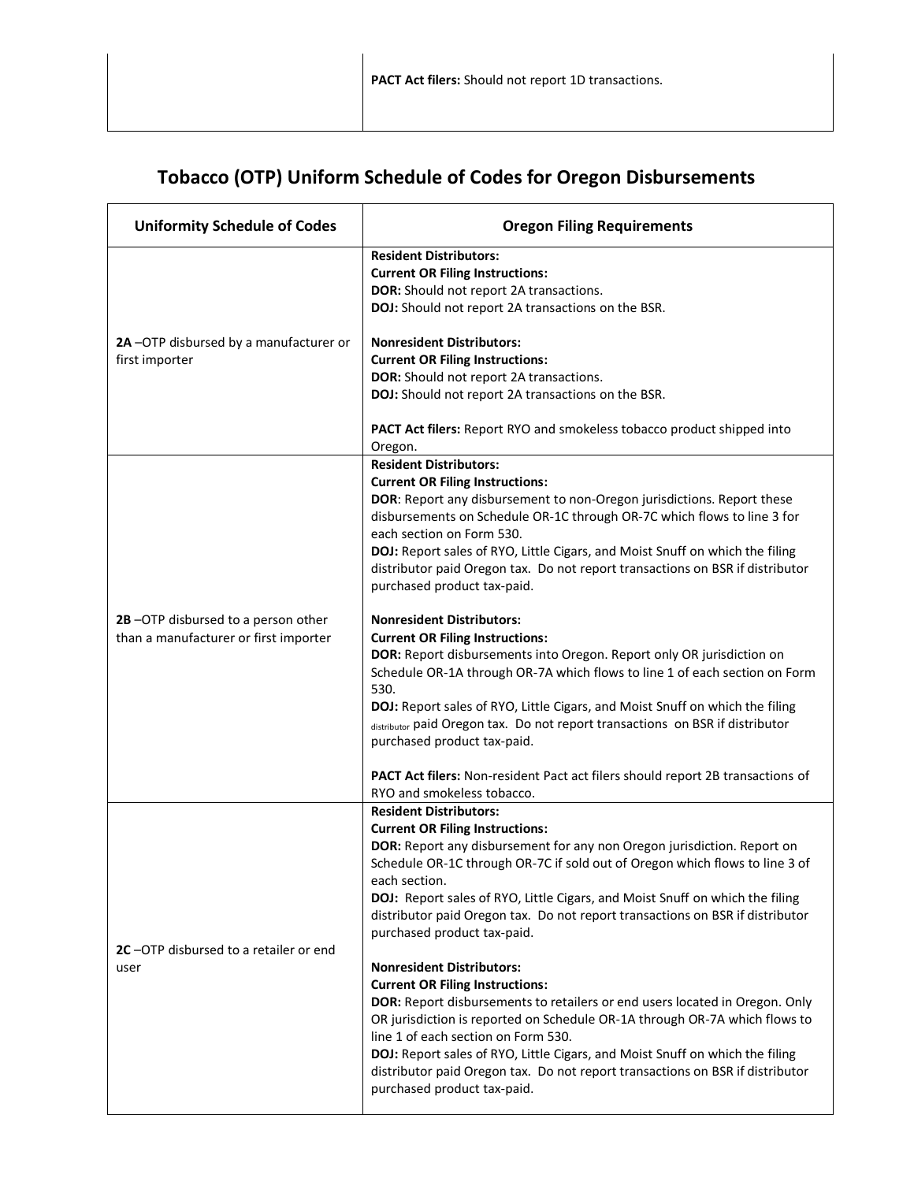## **Tobacco (OTP) Uniform Schedule of Codes for Oregon Disbursements**

| <b>Uniformity Schedule of Codes</b>                                         | <b>Oregon Filing Requirements</b>                                                                                                                                                                                                                                                                                                                                                                                                                                                                                                                                                                                                                                                                                                                                                                                                                                                                                                                                                                                      |
|-----------------------------------------------------------------------------|------------------------------------------------------------------------------------------------------------------------------------------------------------------------------------------------------------------------------------------------------------------------------------------------------------------------------------------------------------------------------------------------------------------------------------------------------------------------------------------------------------------------------------------------------------------------------------------------------------------------------------------------------------------------------------------------------------------------------------------------------------------------------------------------------------------------------------------------------------------------------------------------------------------------------------------------------------------------------------------------------------------------|
| 2A-OTP disbursed by a manufacturer or<br>first importer                     | <b>Resident Distributors:</b><br><b>Current OR Filing Instructions:</b><br>DOR: Should not report 2A transactions.<br>DOJ: Should not report 2A transactions on the BSR.                                                                                                                                                                                                                                                                                                                                                                                                                                                                                                                                                                                                                                                                                                                                                                                                                                               |
|                                                                             | <b>Nonresident Distributors:</b><br><b>Current OR Filing Instructions:</b><br>DOR: Should not report 2A transactions.<br>DOJ: Should not report 2A transactions on the BSR.                                                                                                                                                                                                                                                                                                                                                                                                                                                                                                                                                                                                                                                                                                                                                                                                                                            |
|                                                                             | <b>PACT Act filers:</b> Report RYO and smokeless tobacco product shipped into<br>Oregon.                                                                                                                                                                                                                                                                                                                                                                                                                                                                                                                                                                                                                                                                                                                                                                                                                                                                                                                               |
| 2B-OTP disbursed to a person other<br>than a manufacturer or first importer | <b>Resident Distributors:</b><br><b>Current OR Filing Instructions:</b><br>DOR: Report any disbursement to non-Oregon jurisdictions. Report these<br>disbursements on Schedule OR-1C through OR-7C which flows to line 3 for<br>each section on Form 530.<br>DOJ: Report sales of RYO, Little Cigars, and Moist Snuff on which the filing<br>distributor paid Oregon tax. Do not report transactions on BSR if distributor<br>purchased product tax-paid.<br><b>Nonresident Distributors:</b><br><b>Current OR Filing Instructions:</b><br>DOR: Report disbursements into Oregon. Report only OR jurisdiction on<br>Schedule OR-1A through OR-7A which flows to line 1 of each section on Form<br>530.<br>DOJ: Report sales of RYO, Little Cigars, and Moist Snuff on which the filing<br>distributor paid Oregon tax. Do not report transactions on BSR if distributor<br>purchased product tax-paid.<br>PACT Act filers: Non-resident Pact act filers should report 2B transactions of<br>RYO and smokeless tobacco. |
| 2C-OTP disbursed to a retailer or end<br>user                               | <b>Resident Distributors:</b><br><b>Current OR Filing Instructions:</b><br>DOR: Report any disbursement for any non Oregon jurisdiction. Report on<br>Schedule OR-1C through OR-7C if sold out of Oregon which flows to line 3 of<br>each section.<br>DOJ: Report sales of RYO, Little Cigars, and Moist Snuff on which the filing<br>distributor paid Oregon tax. Do not report transactions on BSR if distributor<br>purchased product tax-paid.<br><b>Nonresident Distributors:</b><br><b>Current OR Filing Instructions:</b><br><b>DOR:</b> Report disbursements to retailers or end users located in Oregon. Only<br>OR jurisdiction is reported on Schedule OR-1A through OR-7A which flows to<br>line 1 of each section on Form 530.<br>DOJ: Report sales of RYO, Little Cigars, and Moist Snuff on which the filing<br>distributor paid Oregon tax. Do not report transactions on BSR if distributor<br>purchased product tax-paid.                                                                            |